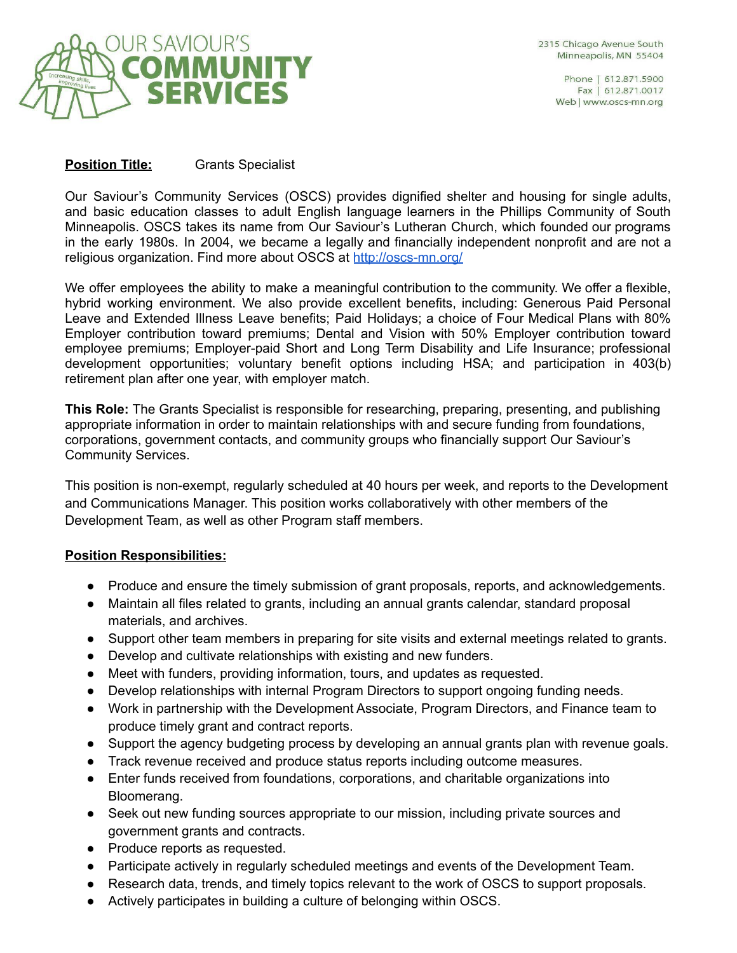

2315 Chicago Avenue South Minneapolis, MN 55404

> Phone | 612.871.5900 Fax | 612.871.0017 Web | www.oscs-mn.org

# **Position Title:** Grants Specialist

Our Saviour's Community Services (OSCS) provides dignified shelter and housing for single adults, and basic education classes to adult English language learners in the Phillips Community of South Minneapolis. OSCS takes its name from Our Saviour's Lutheran Church, which founded our programs in the early 1980s. In 2004, we became a legally and financially independent nonprofit and are not a religious organization. Find more about OSCS at <http://oscs-mn.org/>

We offer employees the ability to make a meaningful contribution to the community. We offer a flexible, hybrid working environment. We also provide excellent benefits, including: Generous Paid Personal Leave and Extended Illness Leave benefits; Paid Holidays; a choice of Four Medical Plans with 80% Employer contribution toward premiums; Dental and Vision with 50% Employer contribution toward employee premiums; Employer-paid Short and Long Term Disability and Life Insurance; professional development opportunities; voluntary benefit options including HSA; and participation in 403(b) retirement plan after one year, with employer match.

**This Role:** The Grants Specialist is responsible for researching, preparing, presenting, and publishing appropriate information in order to maintain relationships with and secure funding from foundations, corporations, government contacts, and community groups who financially support Our Saviour's Community Services.

This position is non-exempt, regularly scheduled at 40 hours per week, and reports to the Development and Communications Manager. This position works collaboratively with other members of the Development Team, as well as other Program staff members.

# **Position Responsibilities:**

- Produce and ensure the timely submission of grant proposals, reports, and acknowledgements.
- Maintain all files related to grants, including an annual grants calendar, standard proposal materials, and archives.
- Support other team members in preparing for site visits and external meetings related to grants.
- Develop and cultivate relationships with existing and new funders.
- Meet with funders, providing information, tours, and updates as requested.
- Develop relationships with internal Program Directors to support ongoing funding needs.
- Work in partnership with the Development Associate, Program Directors, and Finance team to produce timely grant and contract reports.
- Support the agency budgeting process by developing an annual grants plan with revenue goals.
- Track revenue received and produce status reports including outcome measures.
- Enter funds received from foundations, corporations, and charitable organizations into Bloomerang.
- Seek out new funding sources appropriate to our mission, including private sources and government grants and contracts.
- Produce reports as requested.
- Participate actively in regularly scheduled meetings and events of the Development Team.
- Research data, trends, and timely topics relevant to the work of OSCS to support proposals.
- Actively participates in building a culture of belonging within OSCS.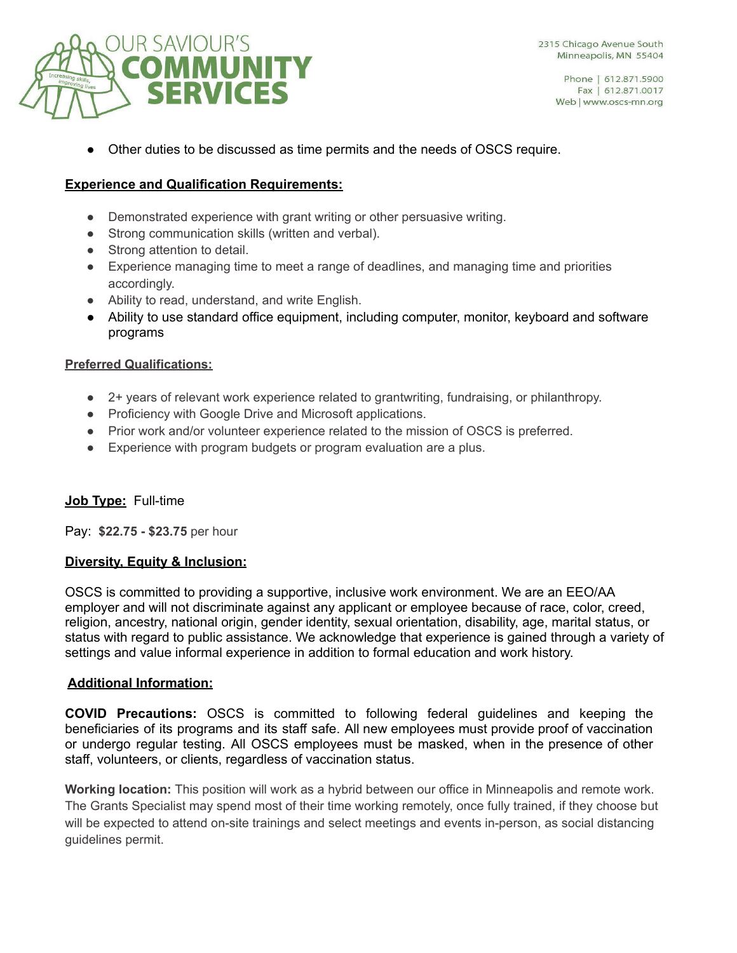

Other duties to be discussed as time permits and the needs of OSCS require.

## **Experience and Qualification Requirements:**

- Demonstrated experience with grant writing or other persuasive writing.
- Strong communication skills (written and verbal).
- Strong attention to detail.
- Experience managing time to meet a range of deadlines, and managing time and priorities accordingly.
- Ability to read, understand, and write English.
- Ability to use standard office equipment, including computer, monitor, keyboard and software programs

### **Preferred Qualifications:**

- 2+ years of relevant work experience related to grantwriting, fundraising, or philanthropy.
- Proficiency with Google Drive and Microsoft applications.
- Prior work and/or volunteer experience related to the mission of OSCS is preferred.
- Experience with program budgets or program evaluation are a plus.

### **Job Type:** Full-time

Pay: **\$22.75 - \$23.75** per hour

### **Diversity, Equity & Inclusion:**

OSCS is committed to providing a supportive, inclusive work environment. We are an EEO/AA employer and will not discriminate against any applicant or employee because of race, color, creed, religion, ancestry, national origin, gender identity, sexual orientation, disability, age, marital status, or status with regard to public assistance. We acknowledge that experience is gained through a variety of settings and value informal experience in addition to formal education and work history.

#### **Additional Information:**

**COVID Precautions:** OSCS is committed to following federal guidelines and keeping the beneficiaries of its programs and its staff safe. All new employees must provide proof of vaccination or undergo regular testing. All OSCS employees must be masked, when in the presence of other staff, volunteers, or clients, regardless of vaccination status.

**Working location:** This position will work as a hybrid between our office in Minneapolis and remote work. The Grants Specialist may spend most of their time working remotely, once fully trained, if they choose but will be expected to attend on-site trainings and select meetings and events in-person, as social distancing guidelines permit.